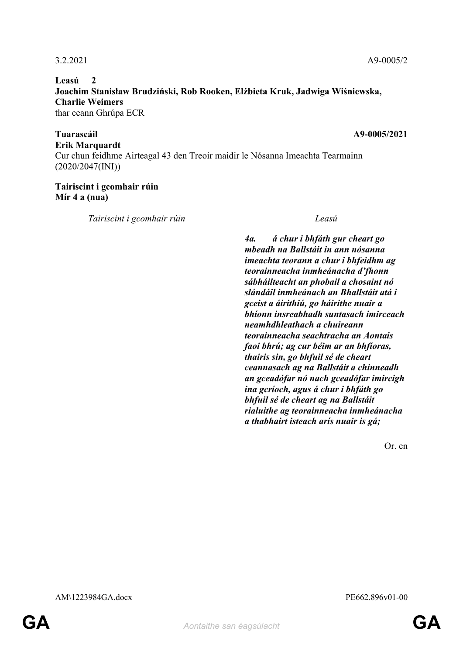## **Leasú 2 Joachim Stanisław Brudziński, Rob Rooken, Elżbieta Kruk, Jadwiga Wiśniewska, Charlie Weimers** thar ceann Ghrúpa ECR

### **Tuarascáil A9-0005/2021 Erik Marquardt**

Cur chun feidhme Airteagal 43 den Treoir maidir le Nósanna Imeachta Tearmainn (2020/2047(INI))

## **Tairiscint i gcomhair rúin Mír 4 a (nua)**

*Tairiscint i gcomhair rúin Leasú*

*4a. á chur i bhfáth gur cheart go mbeadh na Ballstáit in ann nósanna imeachta teorann a chur i bhfeidhm ag teorainneacha inmheánacha d'fhonn sábháilteacht an phobail a chosaint nó slándáil inmheánach an Bhallstáit atá i gceist a áirithiú, go háirithe nuair a bhíonn insreabhadh suntasach imirceach neamhdhleathach a chuireann teorainneacha seachtracha an Aontais faoi bhrú; ag cur béim ar an bhfíoras, thairis sin, go bhfuil sé de cheart ceannasach ag na Ballstáit a chinneadh an gceadófar nó nach gceadófar imircigh ina gcríoch, agus á chur i bhfáth go bhfuil sé de cheart ag na Ballstáit rialuithe ag teorainneacha inmheánacha a thabhairt isteach arís nuair is gá;*

Or. en